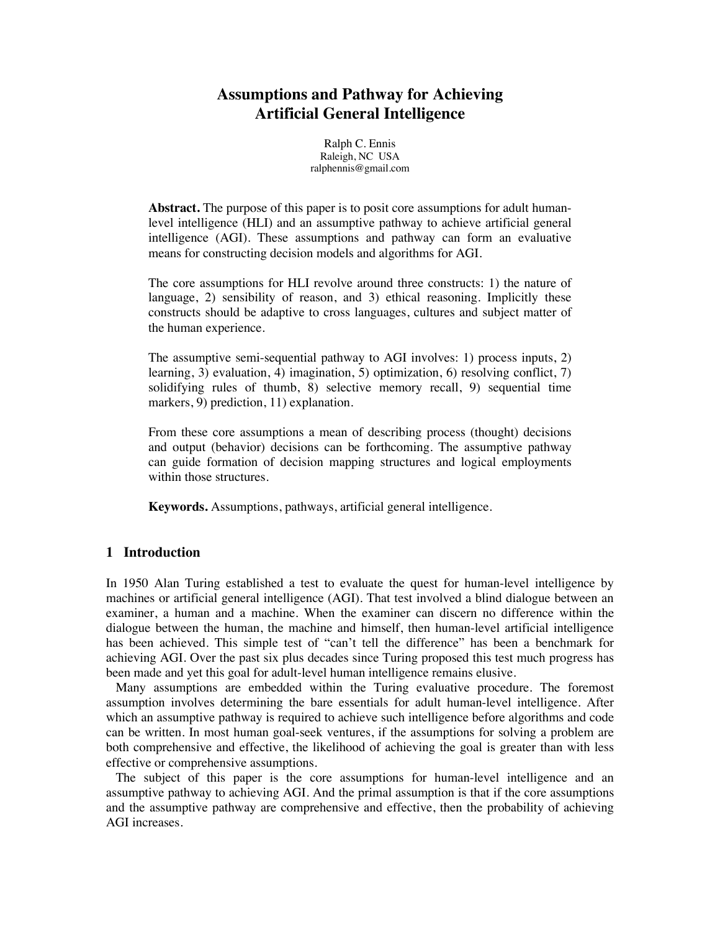# **Assumptions and Pathway for Achieving Artificial General Intelligence**

Ralph C. Ennis Raleigh, NC USA ralphennis@gmail.com

**Abstract.** The purpose of this paper is to posit core assumptions for adult humanlevel intelligence (HLI) and an assumptive pathway to achieve artificial general intelligence (AGI). These assumptions and pathway can form an evaluative means for constructing decision models and algorithms for AGI.

The core assumptions for HLI revolve around three constructs: 1) the nature of language, 2) sensibility of reason, and 3) ethical reasoning. Implicitly these constructs should be adaptive to cross languages, cultures and subject matter of the human experience.

The assumptive semi-sequential pathway to AGI involves: 1) process inputs, 2) learning, 3) evaluation, 4) imagination, 5) optimization, 6) resolving conflict, 7) solidifying rules of thumb, 8) selective memory recall, 9) sequential time markers, 9) prediction, 11) explanation.

From these core assumptions a mean of describing process (thought) decisions and output (behavior) decisions can be forthcoming. The assumptive pathway can guide formation of decision mapping structures and logical employments within those structures.

**Keywords.** Assumptions, pathways, artificial general intelligence.

### **1 Introduction**

In 1950 Alan Turing established a test to evaluate the quest for human-level intelligence by machines or artificial general intelligence (AGI). That test involved a blind dialogue between an examiner, a human and a machine. When the examiner can discern no difference within the dialogue between the human, the machine and himself, then human-level artificial intelligence has been achieved. This simple test of "can't tell the difference" has been a benchmark for achieving AGI. Over the past six plus decades since Turing proposed this test much progress has been made and yet this goal for adult-level human intelligence remains elusive.

 Many assumptions are embedded within the Turing evaluative procedure. The foremost assumption involves determining the bare essentials for adult human-level intelligence. After which an assumptive pathway is required to achieve such intelligence before algorithms and code can be written. In most human goal-seek ventures, if the assumptions for solving a problem are both comprehensive and effective, the likelihood of achieving the goal is greater than with less effective or comprehensive assumptions.

 The subject of this paper is the core assumptions for human-level intelligence and an assumptive pathway to achieving AGI. And the primal assumption is that if the core assumptions and the assumptive pathway are comprehensive and effective, then the probability of achieving AGI increases.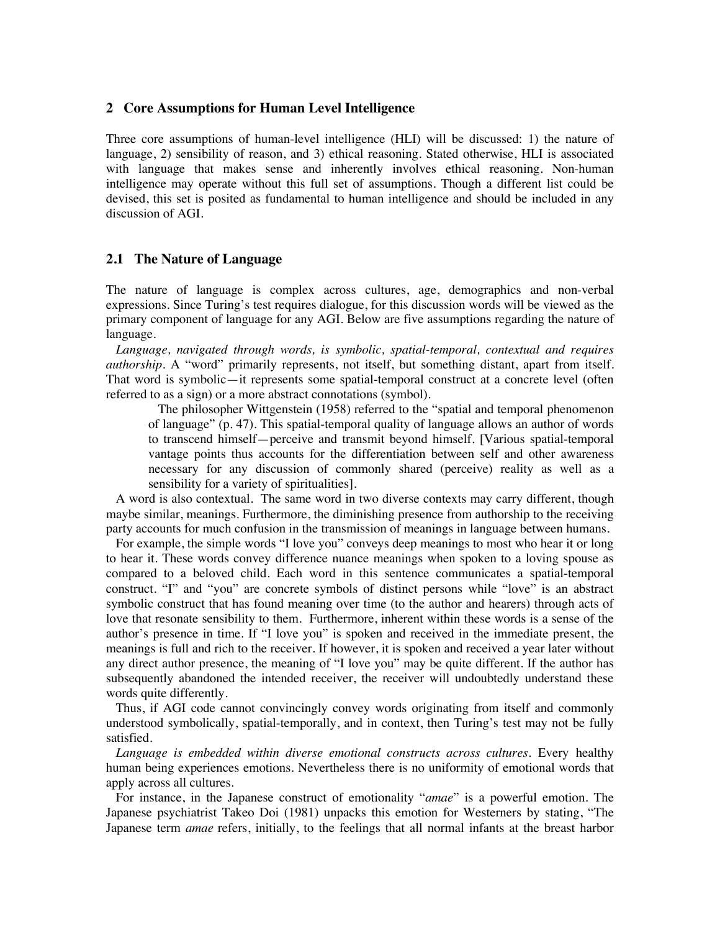### **2 Core Assumptions for Human Level Intelligence**

Three core assumptions of human-level intelligence (HLI) will be discussed: 1) the nature of language, 2) sensibility of reason, and 3) ethical reasoning. Stated otherwise, HLI is associated with language that makes sense and inherently involves ethical reasoning. Non-human intelligence may operate without this full set of assumptions. Though a different list could be devised, this set is posited as fundamental to human intelligence and should be included in any discussion of AGI.

# **2.1 The Nature of Language**

The nature of language is complex across cultures, age, demographics and non-verbal expressions. Since Turing's test requires dialogue, for this discussion words will be viewed as the primary component of language for any AGI. Below are five assumptions regarding the nature of language.

 *Language, navigated through words, is symbolic, spatial-temporal, contextual and requires authorship.* A "word" primarily represents, not itself, but something distant, apart from itself. That word is symbolic—it represents some spatial-temporal construct at a concrete level (often referred to as a sign) or a more abstract connotations (symbol).

 The philosopher Wittgenstein (1958) referred to the "spatial and temporal phenomenon of language" (p. 47). This spatial-temporal quality of language allows an author of words to transcend himself—perceive and transmit beyond himself. [Various spatial-temporal vantage points thus accounts for the differentiation between self and other awareness necessary for any discussion of commonly shared (perceive) reality as well as a sensibility for a variety of spiritualities].

 A word is also contextual. The same word in two diverse contexts may carry different, though maybe similar, meanings. Furthermore, the diminishing presence from authorship to the receiving party accounts for much confusion in the transmission of meanings in language between humans.

 For example, the simple words "I love you" conveys deep meanings to most who hear it or long to hear it. These words convey difference nuance meanings when spoken to a loving spouse as compared to a beloved child. Each word in this sentence communicates a spatial-temporal construct. "I" and "you" are concrete symbols of distinct persons while "love" is an abstract symbolic construct that has found meaning over time (to the author and hearers) through acts of love that resonate sensibility to them. Furthermore, inherent within these words is a sense of the author's presence in time. If "I love you" is spoken and received in the immediate present, the meanings is full and rich to the receiver. If however, it is spoken and received a year later without any direct author presence, the meaning of "I love you" may be quite different. If the author has subsequently abandoned the intended receiver, the receiver will undoubtedly understand these words quite differently.

 Thus, if AGI code cannot convincingly convey words originating from itself and commonly understood symbolically, spatial-temporally, and in context, then Turing's test may not be fully satisfied.

 *Language is embedded within diverse emotional constructs across cultures.* Every healthy human being experiences emotions. Nevertheless there is no uniformity of emotional words that apply across all cultures.

 For instance, in the Japanese construct of emotionality "*amae*" is a powerful emotion. The Japanese psychiatrist Takeo Doi (1981) unpacks this emotion for Westerners by stating, "The Japanese term *amae* refers, initially, to the feelings that all normal infants at the breast harbor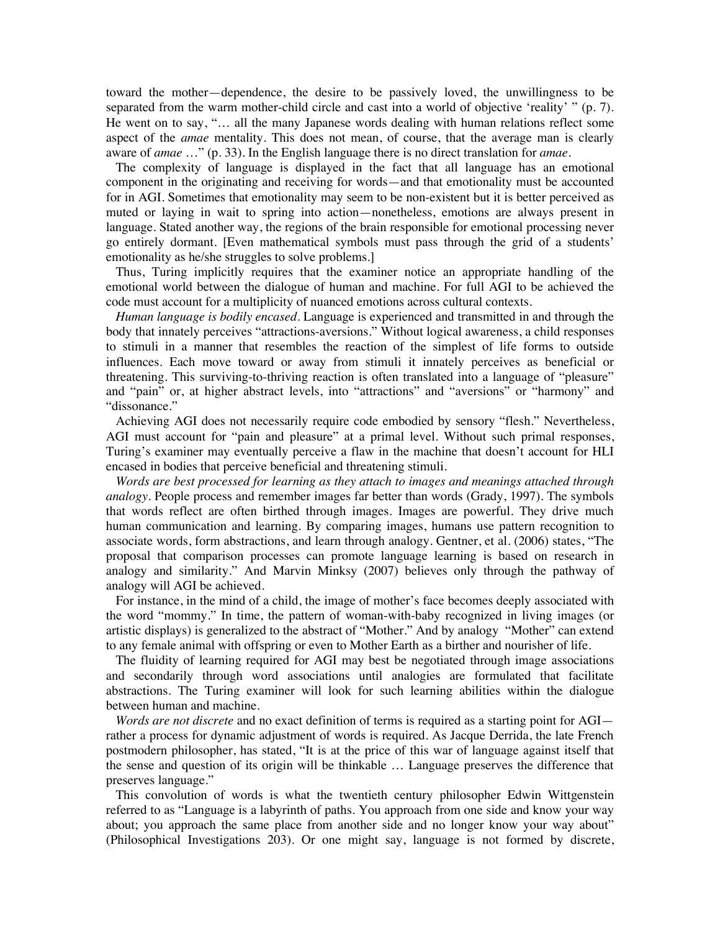toward the mother—dependence, the desire to be passively loved, the unwillingness to be separated from the warm mother-child circle and cast into a world of objective 'reality' " (p. 7). He went on to say, "… all the many Japanese words dealing with human relations reflect some aspect of the *amae* mentality. This does not mean, of course, that the average man is clearly aware of *amae* …" (p. 33). In the English language there is no direct translation for *amae*.

 The complexity of language is displayed in the fact that all language has an emotional component in the originating and receiving for words—and that emotionality must be accounted for in AGI. Sometimes that emotionality may seem to be non-existent but it is better perceived as muted or laying in wait to spring into action—nonetheless, emotions are always present in language. Stated another way, the regions of the brain responsible for emotional processing never go entirely dormant. [Even mathematical symbols must pass through the grid of a students' emotionality as he/she struggles to solve problems.]

 Thus, Turing implicitly requires that the examiner notice an appropriate handling of the emotional world between the dialogue of human and machine. For full AGI to be achieved the code must account for a multiplicity of nuanced emotions across cultural contexts.

 *Human language is bodily encased.* Language is experienced and transmitted in and through the body that innately perceives "attractions-aversions." Without logical awareness, a child responses to stimuli in a manner that resembles the reaction of the simplest of life forms to outside influences. Each move toward or away from stimuli it innately perceives as beneficial or threatening. This surviving-to-thriving reaction is often translated into a language of "pleasure" and "pain" or, at higher abstract levels, into "attractions" and "aversions" or "harmony" and "dissonance."

 Achieving AGI does not necessarily require code embodied by sensory "flesh." Nevertheless, AGI must account for "pain and pleasure" at a primal level. Without such primal responses, Turing's examiner may eventually perceive a flaw in the machine that doesn't account for HLI encased in bodies that perceive beneficial and threatening stimuli.

 *Words are best processed for learning as they attach to images and meanings attached through analogy.* People process and remember images far better than words (Grady, 1997). The symbols that words reflect are often birthed through images. Images are powerful. They drive much human communication and learning. By comparing images, humans use pattern recognition to associate words, form abstractions, and learn through analogy. Gentner, et al. (2006) states, "The proposal that comparison processes can promote language learning is based on research in analogy and similarity." And Marvin Minksy (2007) believes only through the pathway of analogy will AGI be achieved.

 For instance, in the mind of a child, the image of mother's face becomes deeply associated with the word "mommy." In time, the pattern of woman-with-baby recognized in living images (or artistic displays) is generalized to the abstract of "Mother." And by analogy "Mother" can extend to any female animal with offspring or even to Mother Earth as a birther and nourisher of life.

 The fluidity of learning required for AGI may best be negotiated through image associations and secondarily through word associations until analogies are formulated that facilitate abstractions. The Turing examiner will look for such learning abilities within the dialogue between human and machine.

*Words are not discrete* and no exact definition of terms is required as a starting point for AGI rather a process for dynamic adjustment of words is required. As Jacque Derrida, the late French postmodern philosopher, has stated, "It is at the price of this war of language against itself that the sense and question of its origin will be thinkable … Language preserves the difference that preserves language."

 This convolution of words is what the twentieth century philosopher Edwin Wittgenstein referred to as "Language is a labyrinth of paths. You approach from one side and know your way about; you approach the same place from another side and no longer know your way about" (Philosophical Investigations 203). Or one might say, language is not formed by discrete,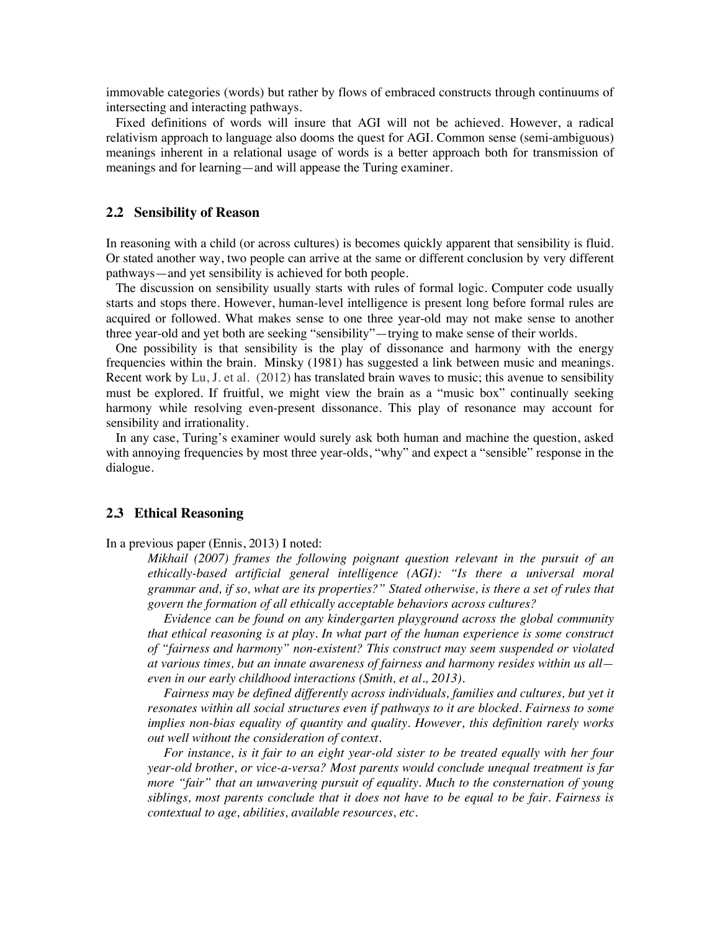immovable categories (words) but rather by flows of embraced constructs through continuums of intersecting and interacting pathways.

 Fixed definitions of words will insure that AGI will not be achieved. However, a radical relativism approach to language also dooms the quest for AGI. Common sense (semi-ambiguous) meanings inherent in a relational usage of words is a better approach both for transmission of meanings and for learning—and will appease the Turing examiner.

### **2.2 Sensibility of Reason**

In reasoning with a child (or across cultures) is becomes quickly apparent that sensibility is fluid. Or stated another way, two people can arrive at the same or different conclusion by very different pathways—and yet sensibility is achieved for both people.

 The discussion on sensibility usually starts with rules of formal logic. Computer code usually starts and stops there. However, human-level intelligence is present long before formal rules are acquired or followed. What makes sense to one three year-old may not make sense to another three year-old and yet both are seeking "sensibility"—trying to make sense of their worlds.

 One possibility is that sensibility is the play of dissonance and harmony with the energy frequencies within the brain. Minsky (1981) has suggested a link between music and meanings. Recent work by Lu, J. et al. (2012) has translated brain waves to music; this avenue to sensibility must be explored. If fruitful, we might view the brain as a "music box" continually seeking harmony while resolving even-present dissonance. This play of resonance may account for sensibility and irrationality.

 In any case, Turing's examiner would surely ask both human and machine the question, asked with annoying frequencies by most three year-olds, "why" and expect a "sensible" response in the dialogue.

# **2.3 Ethical Reasoning**

In a previous paper (Ennis, 2013) I noted:

*Mikhail (2007) frames the following poignant question relevant in the pursuit of an ethically-based artificial general intelligence (AGI): "Is there a universal moral grammar and, if so, what are its properties?" Stated otherwise, is there a set of rules that govern the formation of all ethically acceptable behaviors across cultures?*

 *Evidence can be found on any kindergarten playground across the global community that ethical reasoning is at play. In what part of the human experience is some construct of "fairness and harmony" non-existent? This construct may seem suspended or violated at various times, but an innate awareness of fairness and harmony resides within us all even in our early childhood interactions (Smith, et al., 2013).*

 *Fairness may be defined differently across individuals, families and cultures, but yet it resonates within all social structures even if pathways to it are blocked. Fairness to some implies non-bias equality of quantity and quality. However, this definition rarely works out well without the consideration of context.* 

 *For instance, is it fair to an eight year-old sister to be treated equally with her four year-old brother, or vice-a-versa? Most parents would conclude unequal treatment is far more "fair" that an unwavering pursuit of equality. Much to the consternation of young siblings, most parents conclude that it does not have to be equal to be fair. Fairness is contextual to age, abilities, available resources, etc.*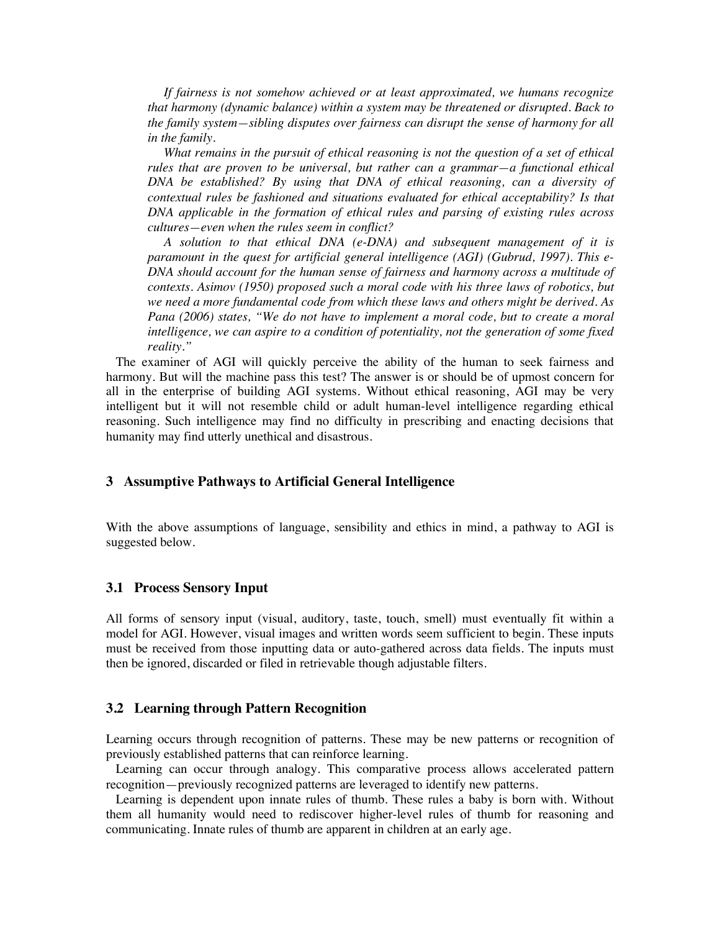*If fairness is not somehow achieved or at least approximated, we humans recognize that harmony (dynamic balance) within a system may be threatened or disrupted. Back to the family system—sibling disputes over fairness can disrupt the sense of harmony for all in the family.* 

 *What remains in the pursuit of ethical reasoning is not the question of a set of ethical rules that are proven to be universal, but rather can a grammar—a functional ethical DNA be established? By using that DNA of ethical reasoning, can a diversity of contextual rules be fashioned and situations evaluated for ethical acceptability? Is that DNA applicable in the formation of ethical rules and parsing of existing rules across cultures—even when the rules seem in conflict?*

 *A solution to that ethical DNA (e-DNA) and subsequent management of it is paramount in the quest for artificial general intelligence (AGI) (Gubrud, 1997). This e-DNA should account for the human sense of fairness and harmony across a multitude of contexts. Asimov (1950) proposed such a moral code with his three laws of robotics, but we need a more fundamental code from which these laws and others might be derived. As Pana (2006) states, "We do not have to implement a moral code, but to create a moral intelligence, we can aspire to a condition of potentiality, not the generation of some fixed reality."* 

 The examiner of AGI will quickly perceive the ability of the human to seek fairness and harmony. But will the machine pass this test? The answer is or should be of upmost concern for all in the enterprise of building AGI systems. Without ethical reasoning, AGI may be very intelligent but it will not resemble child or adult human-level intelligence regarding ethical reasoning. Such intelligence may find no difficulty in prescribing and enacting decisions that humanity may find utterly unethical and disastrous.

# **3 Assumptive Pathways to Artificial General Intelligence**

With the above assumptions of language, sensibility and ethics in mind, a pathway to AGI is suggested below.

# **3.1 Process Sensory Input**

All forms of sensory input (visual, auditory, taste, touch, smell) must eventually fit within a model for AGI. However, visual images and written words seem sufficient to begin. These inputs must be received from those inputting data or auto-gathered across data fields. The inputs must then be ignored, discarded or filed in retrievable though adjustable filters.

#### **3.2 Learning through Pattern Recognition**

Learning occurs through recognition of patterns. These may be new patterns or recognition of previously established patterns that can reinforce learning.

 Learning can occur through analogy. This comparative process allows accelerated pattern recognition—previously recognized patterns are leveraged to identify new patterns.

 Learning is dependent upon innate rules of thumb. These rules a baby is born with. Without them all humanity would need to rediscover higher-level rules of thumb for reasoning and communicating. Innate rules of thumb are apparent in children at an early age.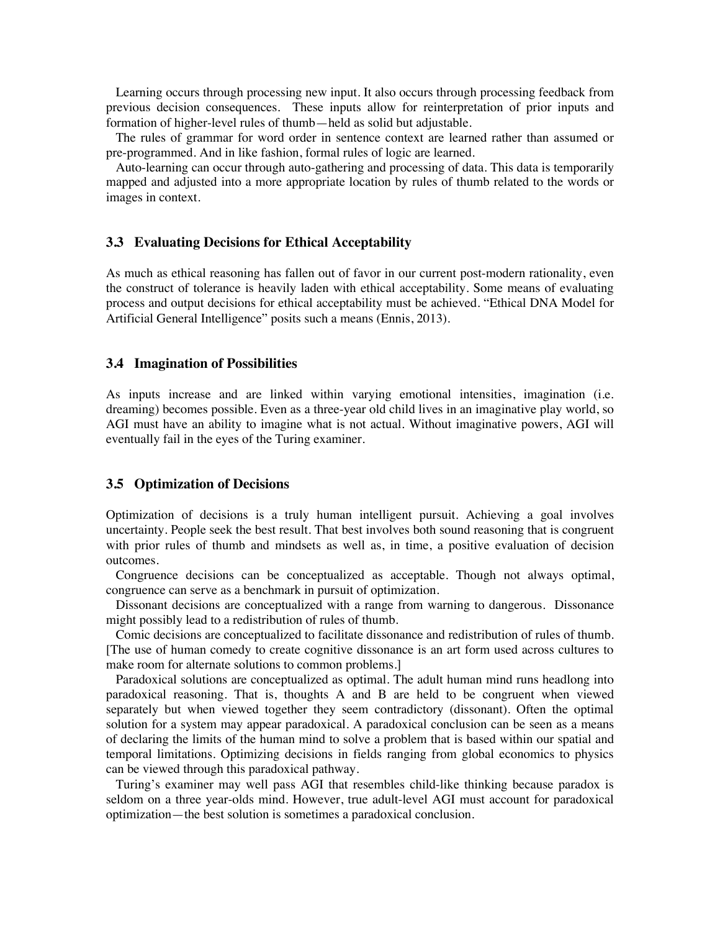Learning occurs through processing new input. It also occurs through processing feedback from previous decision consequences. These inputs allow for reinterpretation of prior inputs and formation of higher-level rules of thumb—held as solid but adjustable.

 The rules of grammar for word order in sentence context are learned rather than assumed or pre-programmed. And in like fashion, formal rules of logic are learned.

 Auto-learning can occur through auto-gathering and processing of data. This data is temporarily mapped and adjusted into a more appropriate location by rules of thumb related to the words or images in context.

#### **3.3 Evaluating Decisions for Ethical Acceptability**

As much as ethical reasoning has fallen out of favor in our current post-modern rationality, even the construct of tolerance is heavily laden with ethical acceptability. Some means of evaluating process and output decisions for ethical acceptability must be achieved. "Ethical DNA Model for Artificial General Intelligence" posits such a means (Ennis, 2013).

#### **3.4 Imagination of Possibilities**

As inputs increase and are linked within varying emotional intensities, imagination (i.e. dreaming) becomes possible. Even as a three-year old child lives in an imaginative play world, so AGI must have an ability to imagine what is not actual. Without imaginative powers, AGI will eventually fail in the eyes of the Turing examiner.

### **3.5 Optimization of Decisions**

Optimization of decisions is a truly human intelligent pursuit. Achieving a goal involves uncertainty. People seek the best result. That best involves both sound reasoning that is congruent with prior rules of thumb and mindsets as well as, in time, a positive evaluation of decision outcomes.

 Congruence decisions can be conceptualized as acceptable. Though not always optimal, congruence can serve as a benchmark in pursuit of optimization.

 Dissonant decisions are conceptualized with a range from warning to dangerous. Dissonance might possibly lead to a redistribution of rules of thumb.

 Comic decisions are conceptualized to facilitate dissonance and redistribution of rules of thumb. [The use of human comedy to create cognitive dissonance is an art form used across cultures to make room for alternate solutions to common problems.]

 Paradoxical solutions are conceptualized as optimal. The adult human mind runs headlong into paradoxical reasoning. That is, thoughts A and B are held to be congruent when viewed separately but when viewed together they seem contradictory (dissonant). Often the optimal solution for a system may appear paradoxical. A paradoxical conclusion can be seen as a means of declaring the limits of the human mind to solve a problem that is based within our spatial and temporal limitations. Optimizing decisions in fields ranging from global economics to physics can be viewed through this paradoxical pathway.

 Turing's examiner may well pass AGI that resembles child-like thinking because paradox is seldom on a three year-olds mind. However, true adult-level AGI must account for paradoxical optimization—the best solution is sometimes a paradoxical conclusion.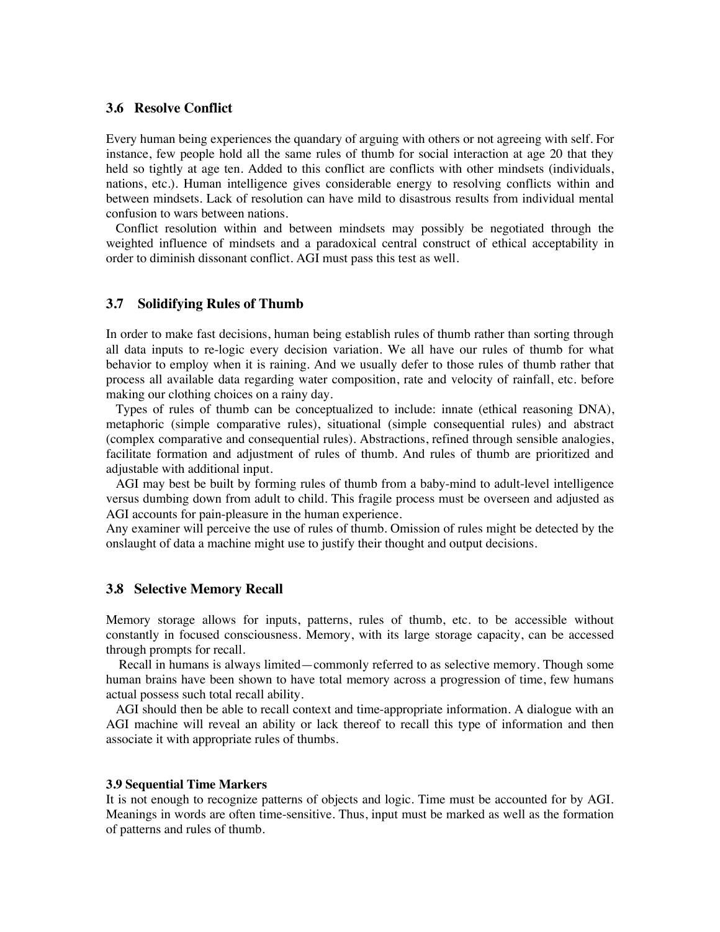#### **3.6 Resolve Conflict**

Every human being experiences the quandary of arguing with others or not agreeing with self. For instance, few people hold all the same rules of thumb for social interaction at age 20 that they held so tightly at age ten. Added to this conflict are conflicts with other mindsets (individuals, nations, etc.). Human intelligence gives considerable energy to resolving conflicts within and between mindsets. Lack of resolution can have mild to disastrous results from individual mental confusion to wars between nations.

 Conflict resolution within and between mindsets may possibly be negotiated through the weighted influence of mindsets and a paradoxical central construct of ethical acceptability in order to diminish dissonant conflict. AGI must pass this test as well.

# **3.7 Solidifying Rules of Thumb**

In order to make fast decisions, human being establish rules of thumb rather than sorting through all data inputs to re-logic every decision variation. We all have our rules of thumb for what behavior to employ when it is raining. And we usually defer to those rules of thumb rather that process all available data regarding water composition, rate and velocity of rainfall, etc. before making our clothing choices on a rainy day.

 Types of rules of thumb can be conceptualized to include: innate (ethical reasoning DNA), metaphoric (simple comparative rules), situational (simple consequential rules) and abstract (complex comparative and consequential rules). Abstractions, refined through sensible analogies, facilitate formation and adjustment of rules of thumb. And rules of thumb are prioritized and adjustable with additional input.

 AGI may best be built by forming rules of thumb from a baby-mind to adult-level intelligence versus dumbing down from adult to child. This fragile process must be overseen and adjusted as AGI accounts for pain-pleasure in the human experience.

Any examiner will perceive the use of rules of thumb. Omission of rules might be detected by the onslaught of data a machine might use to justify their thought and output decisions.

#### **3.8 Selective Memory Recall**

Memory storage allows for inputs, patterns, rules of thumb, etc. to be accessible without constantly in focused consciousness. Memory, with its large storage capacity, can be accessed through prompts for recall.

 Recall in humans is always limited—commonly referred to as selective memory. Though some human brains have been shown to have total memory across a progression of time, few humans actual possess such total recall ability.

 AGI should then be able to recall context and time-appropriate information. A dialogue with an AGI machine will reveal an ability or lack thereof to recall this type of information and then associate it with appropriate rules of thumbs.

#### **3.9 Sequential Time Markers**

It is not enough to recognize patterns of objects and logic. Time must be accounted for by AGI. Meanings in words are often time-sensitive. Thus, input must be marked as well as the formation of patterns and rules of thumb.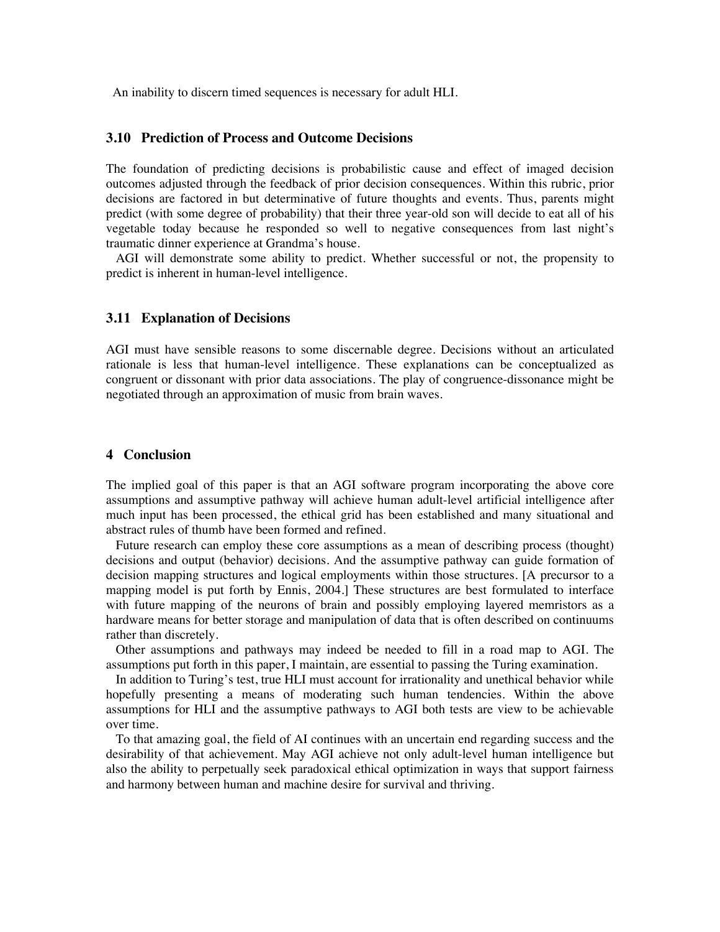An inability to discern timed sequences is necessary for adult HLI.

### **3.10 Prediction of Process and Outcome Decisions**

The foundation of predicting decisions is probabilistic cause and effect of imaged decision outcomes adjusted through the feedback of prior decision consequences. Within this rubric, prior decisions are factored in but determinative of future thoughts and events. Thus, parents might predict (with some degree of probability) that their three year-old son will decide to eat all of his vegetable today because he responded so well to negative consequences from last night's traumatic dinner experience at Grandma's house.

 AGI will demonstrate some ability to predict. Whether successful or not, the propensity to predict is inherent in human-level intelligence.

### **3.11 Explanation of Decisions**

AGI must have sensible reasons to some discernable degree. Decisions without an articulated rationale is less that human-level intelligence. These explanations can be conceptualized as congruent or dissonant with prior data associations. The play of congruence-dissonance might be negotiated through an approximation of music from brain waves.

### **4 Conclusion**

The implied goal of this paper is that an AGI software program incorporating the above core assumptions and assumptive pathway will achieve human adult-level artificial intelligence after much input has been processed, the ethical grid has been established and many situational and abstract rules of thumb have been formed and refined.

 Future research can employ these core assumptions as a mean of describing process (thought) decisions and output (behavior) decisions. And the assumptive pathway can guide formation of decision mapping structures and logical employments within those structures. [A precursor to a mapping model is put forth by Ennis, 2004.] These structures are best formulated to interface with future mapping of the neurons of brain and possibly employing layered memristors as a hardware means for better storage and manipulation of data that is often described on continuums rather than discretely.

 Other assumptions and pathways may indeed be needed to fill in a road map to AGI. The assumptions put forth in this paper, I maintain, are essential to passing the Turing examination.

 In addition to Turing's test, true HLI must account for irrationality and unethical behavior while hopefully presenting a means of moderating such human tendencies. Within the above assumptions for HLI and the assumptive pathways to AGI both tests are view to be achievable over time.

 To that amazing goal, the field of AI continues with an uncertain end regarding success and the desirability of that achievement. May AGI achieve not only adult-level human intelligence but also the ability to perpetually seek paradoxical ethical optimization in ways that support fairness and harmony between human and machine desire for survival and thriving.